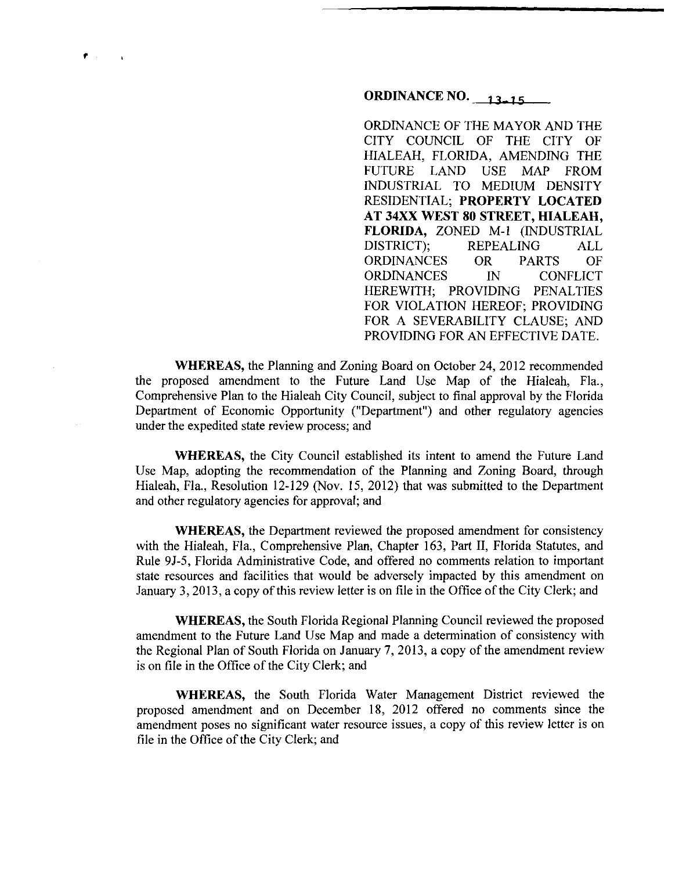**ORDINANCE NO.** 13.15

ORDINANCE OF THE MAYOR AND THE CITY COUNCIL OF THE CITY OF HIALEAH, FLORIDA, AMENDING THE FUTURE LAND USE MAP FROM INDUSTRIAL TO MEDIUM DENSITY RESIDENTIAL; **PROPERTY LOCATED AT 34XX WEST 80 STREET, HIALEAH, FLORIDA,** ZONED M-1 (INDUSTRIAL DISTRICT); REPEALING ALL ORDINANCES OR PARTS OF ORDINANCES IN CONFLICT HEREWITH; PROVIDING PENALTIES FOR VIOLATION HEREOF; PROVIDING FOR A SEVERABILITY CLAUSE; AND PROVIDING FOR AN EFFECTIVE DATE.

**WHEREAS,** the Planning and Zoning Board on October 24, 2012 recommended the proposed amendment to the Future Land Use Map of the Hialeah, Fla., Comprehensive Plan to the Hialeah City Council, subject to final approval by the Florida Department of Economic Opportunity ("Department") and other regulatory agencies under the expedited state review process; and

,

**WHEREAS,** the City Council established its intent to amend the Future Land Use Map, adopting the recommendation of the Planning and Zoning Board, through Hialeah, Fla., Resolution 12-129 (Nov. 15, 2012) that was submitted to the Department and other regulatory agencies for approval; and

**WHEREAS,** the Department reviewed the proposed amendment for consistency with the Hialeah, Fla., Comprehensive Plan, Chapter 163, Part II, Florida Statutes, and Rule 9J-5, Florida Administrative Code, and offered no comments relation to important state resources and facilities that would be adversely impacted by this amendment on January 3, 2013, a copy of this review letter is on file in the Office of the City Clerk; and

**WHEREAS,** the South Florida Regional Planning Council reviewed the proposed amendment to the Future Land Use Map and made a determination of consistency with the Regional Plan of South Florida on January 7, 2013, a copy of the amendment review is on file in the Office of the City Clerk; and

**WHEREAS,** the South Florida Water Management District reviewed the proposed amendment and on December 18, 2012 offered no comments since the amendment poses no significant water resource issues, a copy of this review letter is on file in the Office of the City Clerk; and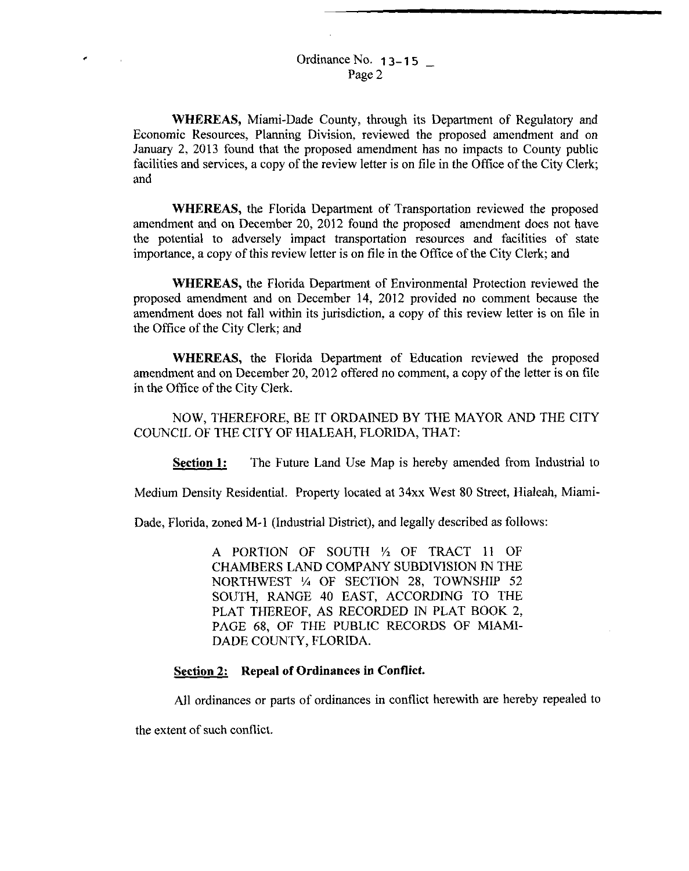Ordinance No. **13-15** Page 2

**WHEREAS,** Miami-Dade County, through its Department of Regulatory and Economic Resources, Planning Division, reviewed the proposed amendment and on January 2, 2013 found that the proposed amendment has no impacts to County public facilities and services, a copy of the review letter is on file in the Office of the City Clerk; and

**WHEREAS,** the Florida Department of Transportation reviewed the proposed amendment and on December 20, 2012 found the proposed amendment does not have the potential to adversely impact transportation resources and facilities of state importance, a copy of this review letter is on file in the Office of the City Clerk; and

**WHEREAS,** the Florida Department of Environmental Protection reviewed the proposed amendment and on December 14, 2012 provided no comment because the amendment does not fall within its jurisdiction, a copy of this review letter is on file in the Office of the City Clerk; and

**WHEREAS,** the Florida Department of Education reviewed the proposed amendment and on December 20, 2012 offered no comment, a copy of the letter is on file in the Office of the City Clerk.

NOW, THEREFORE, BE IT ORDAINED BY THE MAYOR AND THE CITY COUNCIL OF THE CITY OF HIALEAH, FLORIDA, THAT:

**Section 1:** The Future Land Use Map is hereby amended from Industrial to

Medium Density Residential. Property located at 34xx West 80 Street, Hialeah, Miami-

Dade, Florida, zoned M-1 (Industrial District), and legally described as follows:

A PORTION OF SOUTH 1/2 OF TRACT 11 OF CHAMBERS LAND COMPANY SUBDIVISION IN THE NORTHWEST *V.* OF SECTION 28, TOWNSHIP 52 SOUTH, RANGE 40 EAST, ACCORDING TO THE PLAT THEREOF, AS RECORDED IN PLAT BOOK 2, PAGE 68, OF THE PUBLIC RECORDS OF MIAMI-DADE COUNTY, FLORIDA.

## **Section 2: Repeal of Ordinances in Conflict.**

All ordinances or parts of ordinances in conflict herewith are hereby repealed to

the extent of such conflict.

 $\mathcal{L}$